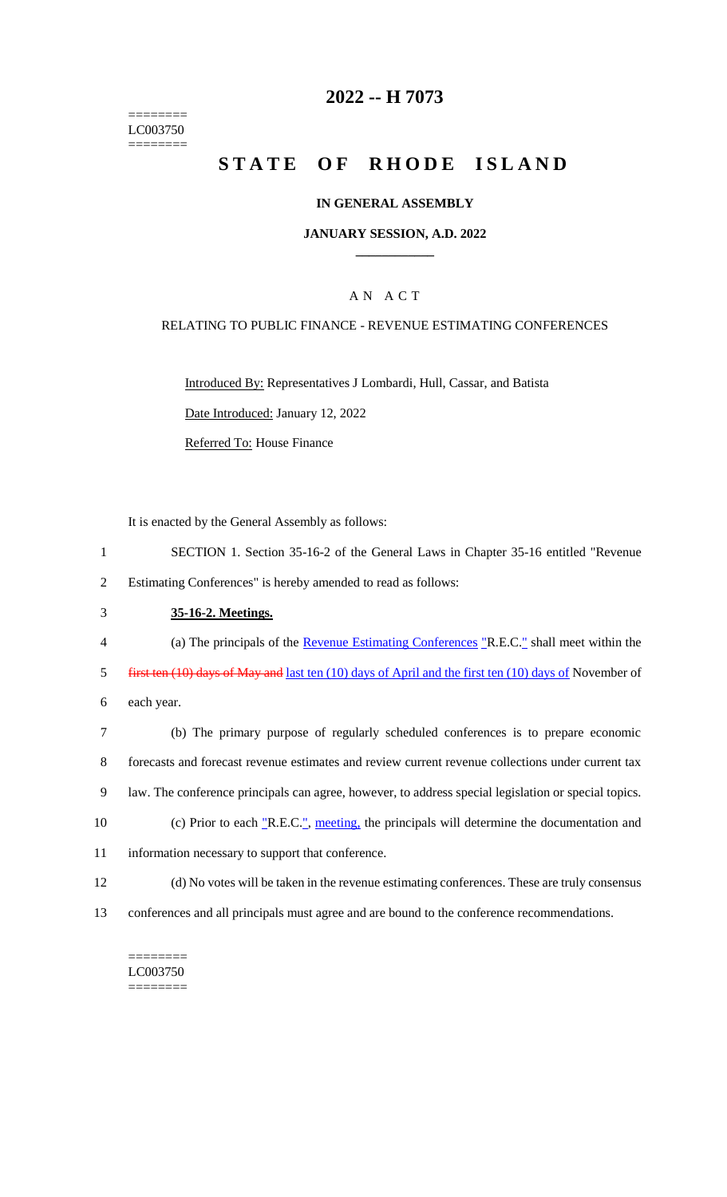======== LC003750 ========

## **2022 -- H 7073**

# **STATE OF RHODE ISLAND**

### **IN GENERAL ASSEMBLY**

### **JANUARY SESSION, A.D. 2022 \_\_\_\_\_\_\_\_\_\_\_\_**

### A N A C T

### RELATING TO PUBLIC FINANCE - REVENUE ESTIMATING CONFERENCES

Introduced By: Representatives J Lombardi, Hull, Cassar, and Batista Date Introduced: January 12, 2022 Referred To: House Finance

It is enacted by the General Assembly as follows:

- 1 SECTION 1. Section 35-16-2 of the General Laws in Chapter 35-16 entitled "Revenue 2 Estimating Conferences" is hereby amended to read as follows:
- 3 **35-16-2. Meetings.**
- 4 (a) The principals of the Revenue Estimating Conferences "R.E.C." shall meet within the
- 5 first ten (10) days of May and last ten (10) days of April and the first ten (10) days of November of
- 6 each year.

 (b) The primary purpose of regularly scheduled conferences is to prepare economic forecasts and forecast revenue estimates and review current revenue collections under current tax law. The conference principals can agree, however, to address special legislation or special topics. 10 (c) Prior to each "R.E.C.", meeting, the principals will determine the documentation and information necessary to support that conference.

- 12 (d) No votes will be taken in the revenue estimating conferences. These are truly consensus
- 13 conferences and all principals must agree and are bound to the conference recommendations.

======== LC003750 ========